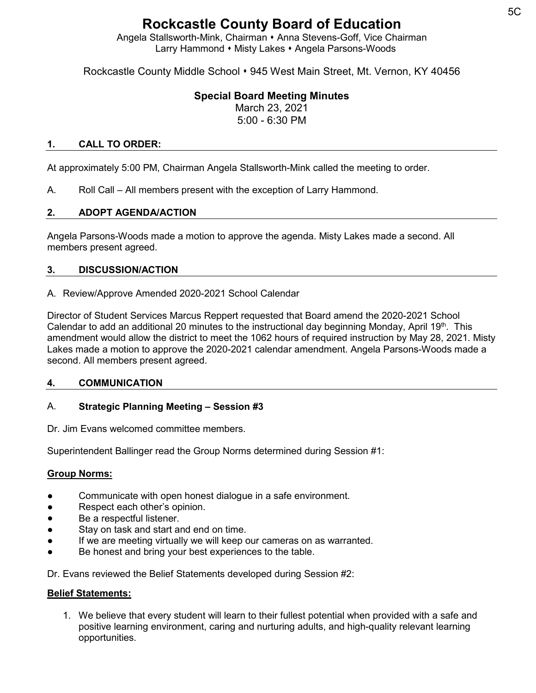# **Rockcastle County Board of Education**

Angela Stallsworth-Mink, Chairman • Anna Stevens-Goff, Vice Chairman Larry Hammond • Misty Lakes • Angela Parsons-Woods

Rockcastle County Middle School • 945 West Main Street, Mt. Vernon, KY 40456

# **Special Board Meeting Minutes**

March 23, 2021 5:00 - 6:30 PM

#### **1. CALL TO ORDER:**

At approximately 5:00 PM, Chairman Angela Stallsworth-Mink called the meeting to order.

A. Roll Call – All members present with the exception of Larry Hammond.

#### **2. ADOPT AGENDA/ACTION**

Angela Parsons-Woods made a motion to approve the agenda. Misty Lakes made a second. All members present agreed.

#### **3. DISCUSSION/ACTION**

A. Review/Approve Amended 2020-2021 School Calendar

Director of Student Services Marcus Reppert requested that Board amend the 2020-2021 School Calendar to add an additional 20 minutes to the instructional day beginning Monday, April 19<sup>th</sup>. This amendment would allow the district to meet the 1062 hours of required instruction by May 28, 2021. Misty Lakes made a motion to approve the 2020-2021 calendar amendment. Angela Parsons-Woods made a second. All members present agreed.

#### **4. COMMUNICATION**

#### A. **Strategic Planning Meeting – Session #3**

Dr. Jim Evans welcomed committee members.

Superintendent Ballinger read the Group Norms determined during Session #1:

#### **Group Norms:**

- Communicate with open honest dialogue in a safe environment.
- Respect each other's opinion.
- Be a respectful listener.
- Stay on task and start and end on time.
- If we are meeting virtually we will keep our cameras on as warranted.
- Be honest and bring your best experiences to the table.

Dr. Evans reviewed the Belief Statements developed during Session #2:

#### **Belief Statements:**

1. We believe that every student will learn to their fullest potential when provided with a safe and positive learning environment, caring and nurturing adults, and high-quality relevant learning opportunities.